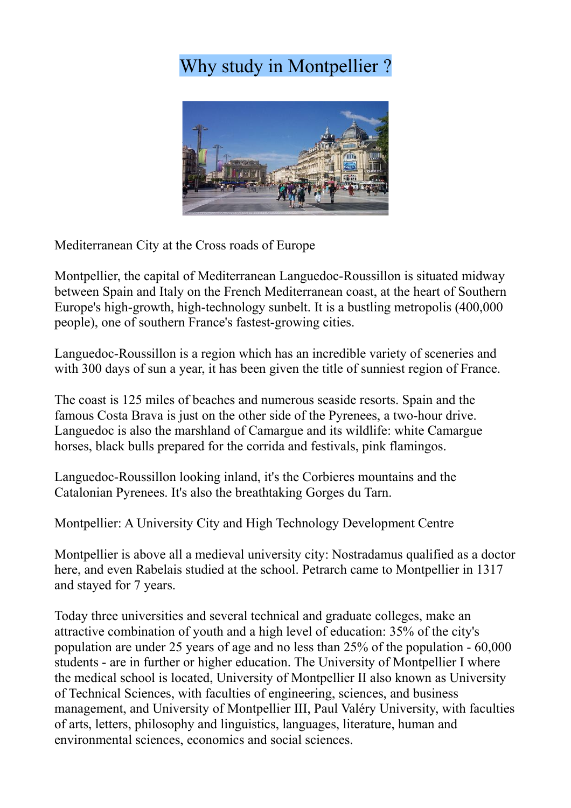## Why study in Montpellier ?



Mediterranean City at the Cross roads of Europe

Montpellier, the capital of Mediterranean Languedoc-Roussillon is situated midway between Spain and Italy on the French Mediterranean coast, at the heart of Southern Europe's high-growth, high-technology sunbelt. It is a bustling metropolis (400,000 people), one of southern France's fastest-growing cities.

Languedoc-Roussillon is a region which has an incredible variety of sceneries and with 300 days of sun a year, it has been given the title of sunniest region of France.

The coast is 125 miles of beaches and numerous seaside resorts. Spain and the famous Costa Brava is just on the other side of the Pyrenees, a two-hour drive. Languedoc is also the marshland of Camargue and its wildlife: white Camargue horses, black bulls prepared for the corrida and festivals, pink flamingos.

Languedoc-Roussillon looking inland, it's the Corbieres mountains and the Catalonian Pyrenees. It's also the breathtaking Gorges du Tarn.

Montpellier: A University City and High Technology Development Centre

Montpellier is above all a medieval university city: Nostradamus qualified as a doctor here, and even Rabelais studied at the school. Petrarch came to Montpellier in 1317 and stayed for 7 years.

Today three universities and several technical and graduate colleges, make an attractive combination of youth and a high level of education: 35% of the city's population are under 25 years of age and no less than 25% of the population - 60,000 students - are in further or higher education. The University of Montpellier I where the medical school is located, University of Montpellier II also known as University of Technical Sciences, with faculties of engineering, sciences, and business management, and University of Montpellier III, Paul Valéry University, with faculties of arts, letters, philosophy and linguistics, languages, literature, human and environmental sciences, economics and social sciences.